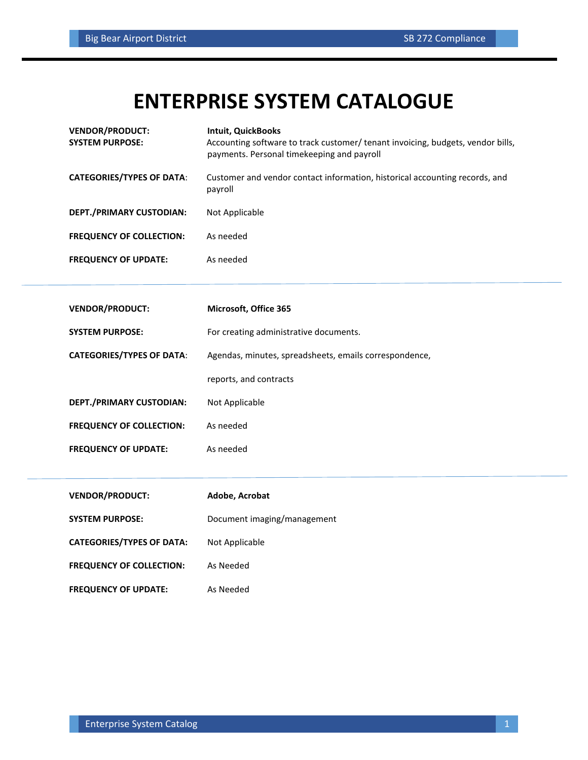## **ENTERPRISE SYSTEM CATALOGUE**

| <b>VENDOR/PRODUCT:</b><br><b>SYSTEM PURPOSE:</b> | <b>Intuit, QuickBooks</b><br>Accounting software to track customer/ tenant invoicing, budgets, vendor bills,<br>payments. Personal timekeeping and payroll |
|--------------------------------------------------|------------------------------------------------------------------------------------------------------------------------------------------------------------|
| <b>CATEGORIES/TYPES OF DATA:</b>                 | Customer and vendor contact information, historical accounting records, and<br>payroll                                                                     |
| DEPT./PRIMARY CUSTODIAN:                         | Not Applicable                                                                                                                                             |
| <b>FREQUENCY OF COLLECTION:</b>                  | As needed                                                                                                                                                  |
| <b>FREQUENCY OF UPDATE:</b>                      | As needed                                                                                                                                                  |
|                                                  |                                                                                                                                                            |
| <b>VENDOR/PRODUCT:</b>                           | Microsoft, Office 365                                                                                                                                      |
| <b>SYSTEM PURPOSE:</b>                           | For creating administrative documents.                                                                                                                     |
| <b>CATEGORIES/TYPES OF DATA:</b>                 | Agendas, minutes, spreadsheets, emails correspondence,                                                                                                     |
|                                                  | reports, and contracts                                                                                                                                     |
| DEPT./PRIMARY CUSTODIAN:                         | Not Applicable                                                                                                                                             |
| <b>FREQUENCY OF COLLECTION:</b>                  | As needed                                                                                                                                                  |
| <b>FREQUENCY OF UPDATE:</b>                      | As needed                                                                                                                                                  |
|                                                  |                                                                                                                                                            |
| <b>VENDOR/PRODUCT:</b>                           | Adobe, Acrobat                                                                                                                                             |
| <b>SYSTEM PURPOSE:</b>                           | Document imaging/management                                                                                                                                |
| <b>CATEGORIES/TYPES OF DATA:</b>                 | Not Applicable                                                                                                                                             |
| <b>FREQUENCY OF COLLECTION:</b>                  | As Needed                                                                                                                                                  |
| <b>FREQUENCY OF UPDATE:</b>                      | As Needed                                                                                                                                                  |